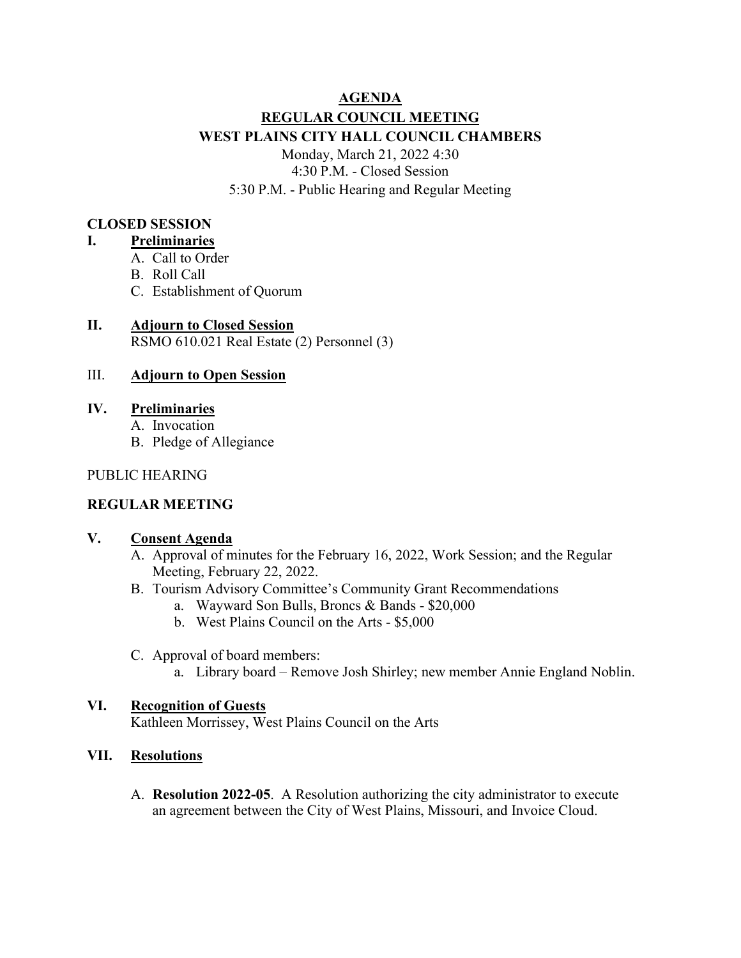# **AGENDA REGULAR COUNCIL MEETING WEST PLAINS CITY HALL COUNCIL CHAMBERS** Monday, March 21, 2022 4:30 4:30 P.M. - Closed Session 5:30 P.M. - Public Hearing and Regular Meeting

### **CLOSED SESSION**

#### **I. Preliminaries**

- A. Call to Order
- B. Roll Call
- C. Establishment of Quorum

#### **II. Adjourn to Closed Session** RSMO 610.021 Real Estate (2) Personnel (3)

# III. **Adjourn to Open Session**

- **IV. Preliminaries**
	- A. Invocation
	- B. Pledge of Allegiance

#### PUBLIC HEARING

# **REGULAR MEETING**

#### **V. Consent Agenda**

- A. Approval of minutes for the February 16, 2022, Work Session; and the Regular Meeting, February 22, 2022.
- B. Tourism Advisory Committee's Community Grant Recommendations
	- a. Wayward Son Bulls, Broncs & Bands \$20,000
	- b. West Plains Council on the Arts \$5,000
- C. Approval of board members:
	- a. Library board Remove Josh Shirley; new member Annie England Noblin.

# **VI. Recognition of Guests**

Kathleen Morrissey, West Plains Council on the Arts

# **VII. Resolutions**

A. **Resolution 2022-05**. A Resolution authorizing the city administrator to execute an agreement between the City of West Plains, Missouri, and Invoice Cloud.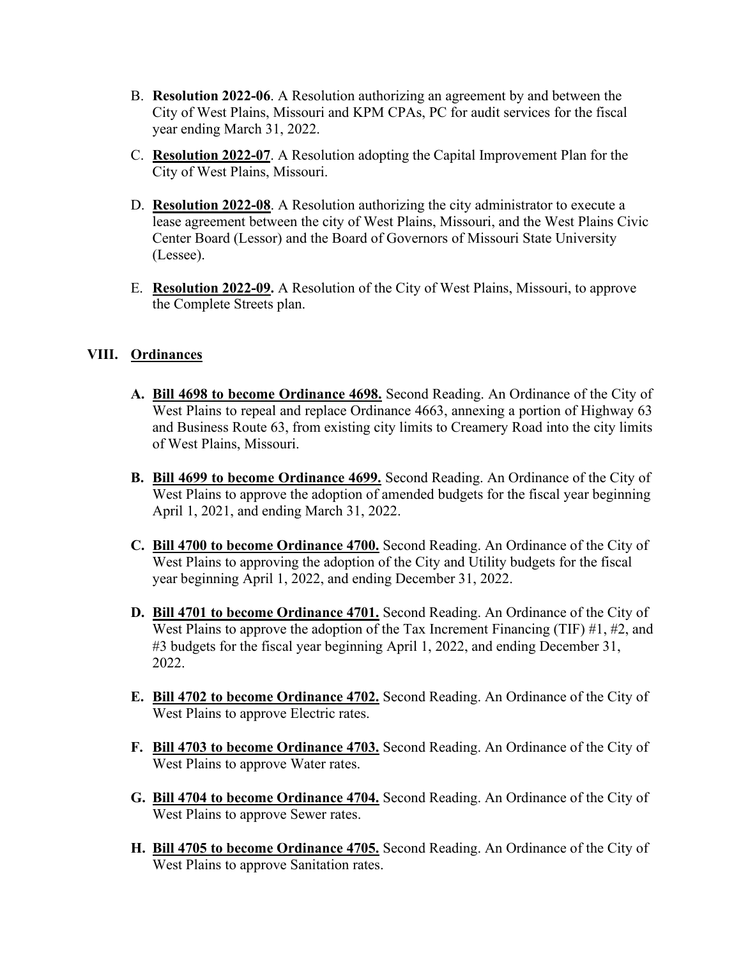- B. **Resolution 2022-06**. A Resolution authorizing an agreement by and between the City of West Plains, Missouri and KPM CPAs, PC for audit services for the fiscal year ending March 31, 2022.
- C. **Resolution 2022-07**. A Resolution adopting the Capital Improvement Plan for the City of West Plains, Missouri.
- D. **Resolution 2022-08**. A Resolution authorizing the city administrator to execute a lease agreement between the city of West Plains, Missouri, and the West Plains Civic Center Board (Lessor) and the Board of Governors of Missouri State University (Lessee).
- E. **[Resolution 2022-09.](https://westplains.gov/wp-content/uploads/2022/03/Complete-Streets-Resolution.pdf)** A Resolution of the City of West Plains, Missouri, to approve the Complete Streets plan.

# **VIII. Ordinances**

- **A. Bill 4698 to become Ordinance 4698.** Second Reading. An Ordinance of the City of West Plains to repeal and replace Ordinance 4663, annexing a portion of Highway 63 and Business Route 63, from existing city limits to Creamery Road into the city limits of West Plains, Missouri.
- **B. Bill 4699 to become Ordinance 4699.** Second Reading. An Ordinance of the City of West Plains to approve the adoption of amended budgets for the fiscal year beginning April 1, 2021, and ending March 31, 2022.
- **C. Bill 4700 to become Ordinance 4700.** Second Reading. An Ordinance of the City of West Plains to approving the adoption of the City and Utility budgets for the fiscal year beginning April 1, 2022, and ending December 31, 2022.
- **D. Bill 4701 to become Ordinance 4701.** Second Reading. An Ordinance of the City of West Plains to approve the adoption of the Tax Increment Financing (TIF) #1, #2, and #3 budgets for the fiscal year beginning April 1, 2022, and ending December 31, 2022.
- **E. Bill 4702 to become Ordinance 4702.** Second Reading. An Ordinance of the City of West Plains to approve Electric rates.
- **F. Bill 4703 to become Ordinance 4703.** Second Reading. An Ordinance of the City of West Plains to approve Water rates.
- **G. Bill 4704 to become Ordinance 4704.** Second Reading. An Ordinance of the City of West Plains to approve Sewer rates.
- **H. Bill 4705 to become Ordinance 4705.** Second Reading. An Ordinance of the City of West Plains to approve Sanitation rates.